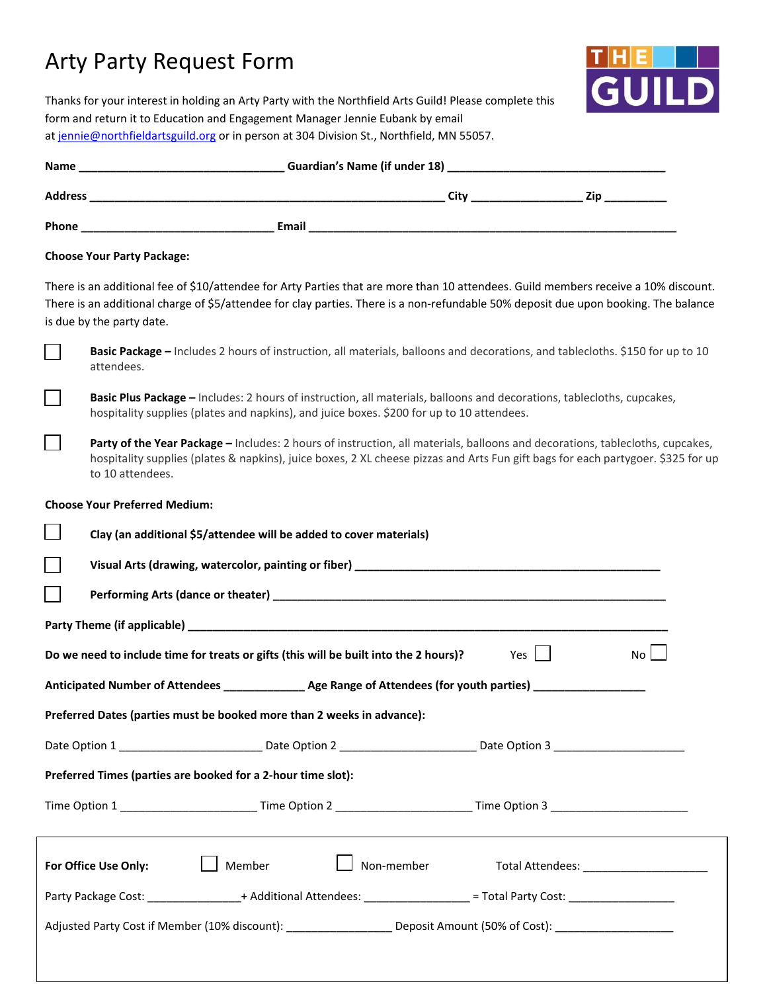## Arty Party Request Form



Thanks for your interest in holding an Arty Party with the Northfield Arts Guild! Please complete this form and return it to Education and Engagement Manager Jennie Eubank by email a[t jennie@northfieldartsguild.org](mailto:jennie@northfieldartsguild.org) or in person at 304 Division St., Northfield, MN 55057.

| <b>Choose Your Party Package:</b>                                                                                                                                                                                                                                                                       |
|---------------------------------------------------------------------------------------------------------------------------------------------------------------------------------------------------------------------------------------------------------------------------------------------------------|
| There is an additional fee of \$10/attendee for Arty Parties that are more than 10 attendees. Guild members receive a 10% discount.<br>There is an additional charge of \$5/attendee for clay parties. There is a non-refundable 50% deposit due upon booking. The balance<br>is due by the party date. |
| Basic Package - Includes 2 hours of instruction, all materials, balloons and decorations, and tablecloths. \$150 for up to 10<br>attendees.                                                                                                                                                             |
| Basic Plus Package - Includes: 2 hours of instruction, all materials, balloons and decorations, tablecloths, cupcakes,<br>hospitality supplies (plates and napkins), and juice boxes. \$200 for up to 10 attendees.                                                                                     |
| Party of the Year Package - Includes: 2 hours of instruction, all materials, balloons and decorations, tablecloths, cupcakes,<br>hospitality supplies (plates & napkins), juice boxes, 2 XL cheese pizzas and Arts Fun gift bags for each partygoer. \$325 for up<br>to 10 attendees.                   |
| <b>Choose Your Preferred Medium:</b>                                                                                                                                                                                                                                                                    |
| Clay (an additional \$5/attendee will be added to cover materials)                                                                                                                                                                                                                                      |
|                                                                                                                                                                                                                                                                                                         |
|                                                                                                                                                                                                                                                                                                         |
|                                                                                                                                                                                                                                                                                                         |
| No<br>Do we need to include time for treats or gifts (this will be built into the 2 hours)?<br>Yes                                                                                                                                                                                                      |
| Anticipated Number of Attendees _______________ Age Range of Attendees (for youth parties) __________________                                                                                                                                                                                           |
| Preferred Dates (parties must be booked more than 2 weeks in advance):                                                                                                                                                                                                                                  |
| Date Option 1 _______________________________Date Option 2 ____________________________Date Option 3 _________________________________                                                                                                                                                                  |
| Preferred Times (parties are booked for a 2-hour time slot):                                                                                                                                                                                                                                            |
|                                                                                                                                                                                                                                                                                                         |
| Non-member<br>Member<br>For Office Use Only:<br>Total Attendees: _________________________                                                                                                                                                                                                              |
| Party Package Cost: _________________+ Additional Attendees: _________________= Total Party Cost: __________________                                                                                                                                                                                    |
|                                                                                                                                                                                                                                                                                                         |